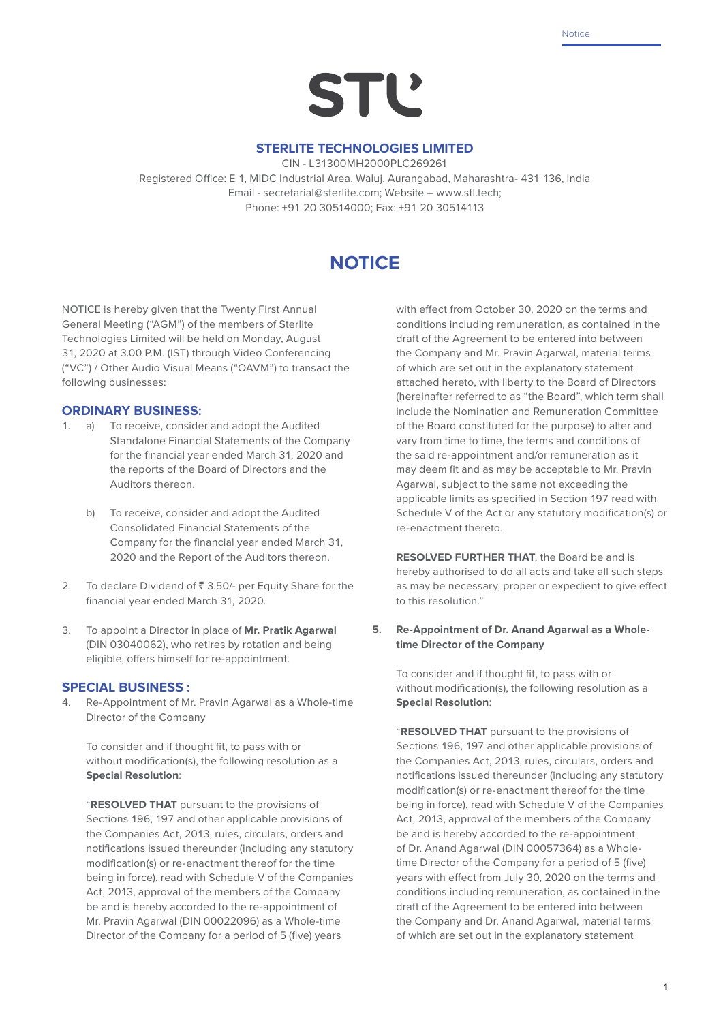**Notice** 

# **STL'**

# **STERLITE TECHNOLOGIES LIMITED**

CIN - L31300MH2000PLC269261

Registered Office: E 1, MIDC Industrial Area, Waluj, Aurangabad, Maharashtra- 431 136, India Email - secretarial@sterlite.com; Website – www.stl.tech; Phone: +91 20 30514000; Fax: +91 20 30514113

# **NOTICE**

NOTICE is hereby given that the Twenty First Annual General Meeting ("AGM") of the members of Sterlite Technologies Limited will be held on Monday, August 31, 2020 at 3.00 P.M. (IST) through Video Conferencing ("VC") / Other Audio Visual Means ("OAVM") to transact the following businesses:

# **ORDINARY BUSINESS:**

- 1. a) To receive, consider and adopt the Audited Standalone Financial Statements of the Company for the financial year ended March 31, 2020 and the reports of the Board of Directors and the Auditors thereon.
	- b) To receive, consider and adopt the Audited Consolidated Financial Statements of the Company for the financial year ended March 31, 2020 and the Report of the Auditors thereon.
- 2. To declare Dividend of  $\bar{z}$  3.50/- per Equity Share for the financial year ended March 31, 2020.
- 3. To appoint a Director in place of **Mr. Pratik Agarwal** (DIN 03040062), who retires by rotation and being eligible, offers himself for re-appointment.

# **SPECIAL BUSINESS :**

4. Re-Appointment of Mr. Pravin Agarwal as a Whole-time Director of the Company

 To consider and if thought fit, to pass with or without modification(s), the following resolution as a **Special Resolution**:

 "**RESOLVED THAT** pursuant to the provisions of Sections 196, 197 and other applicable provisions of the Companies Act, 2013, rules, circulars, orders and notifications issued thereunder (including any statutory modification(s) or re-enactment thereof for the time being in force), read with Schedule V of the Companies Act, 2013, approval of the members of the Company be and is hereby accorded to the re-appointment of Mr. Pravin Agarwal (DIN 00022096) as a Whole-time Director of the Company for a period of 5 (five) years

with effect from October 30, 2020 on the terms and conditions including remuneration, as contained in the draft of the Agreement to be entered into between the Company and Mr. Pravin Agarwal, material terms of which are set out in the explanatory statement attached hereto, with liberty to the Board of Directors (hereinafter referred to as "the Board", which term shall include the Nomination and Remuneration Committee of the Board constituted for the purpose) to alter and vary from time to time, the terms and conditions of the said re-appointment and/or remuneration as it may deem fit and as may be acceptable to Mr. Pravin Agarwal, subject to the same not exceeding the applicable limits as specified in Section 197 read with Schedule V of the Act or any statutory modification(s) or re-enactment thereto.

 **RESOLVED FURTHER THAT**, the Board be and is hereby authorised to do all acts and take all such steps as may be necessary, proper or expedient to give effect to this resolution."

**5. Re-Appointment of Dr. Anand Agarwal as a Wholetime Director of the Company**

 To consider and if thought fit, to pass with or without modification(s), the following resolution as a **Special Resolution**:

 "**RESOLVED THAT** pursuant to the provisions of Sections 196, 197 and other applicable provisions of the Companies Act, 2013, rules, circulars, orders and notifications issued thereunder (including any statutory modification(s) or re-enactment thereof for the time being in force), read with Schedule V of the Companies Act, 2013, approval of the members of the Company be and is hereby accorded to the re-appointment of Dr. Anand Agarwal (DIN 00057364) as a Wholetime Director of the Company for a period of 5 (five) years with effect from July 30, 2020 on the terms and conditions including remuneration, as contained in the draft of the Agreement to be entered into between the Company and Dr. Anand Agarwal, material terms of which are set out in the explanatory statement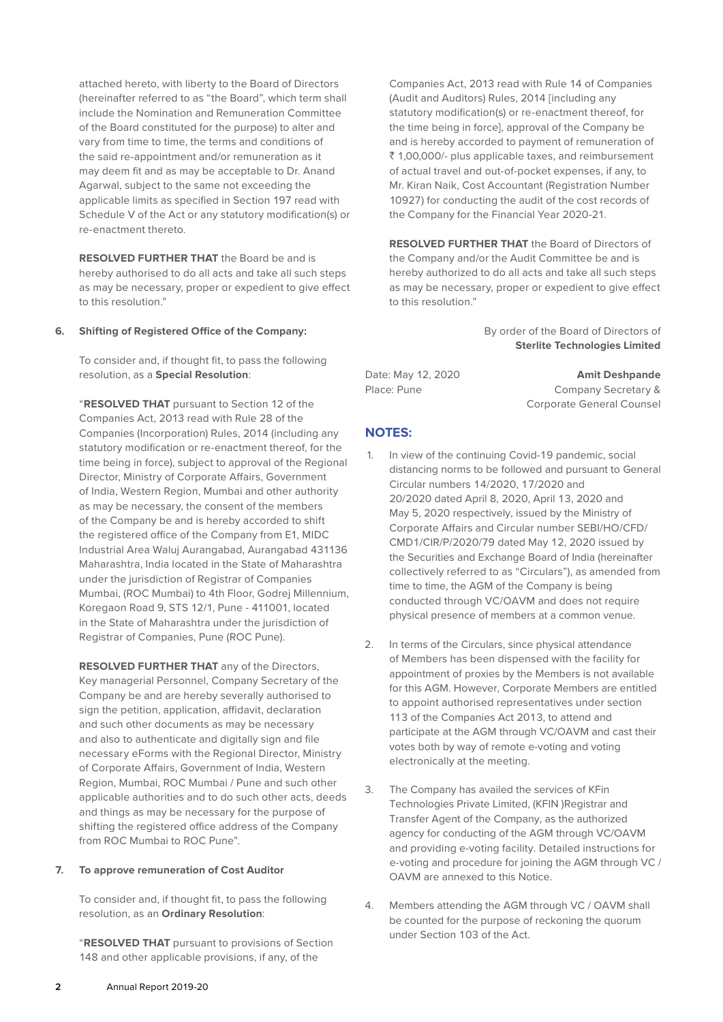attached hereto, with liberty to the Board of Directors (hereinafter referred to as "the Board", which term shall include the Nomination and Remuneration Committee of the Board constituted for the purpose) to alter and vary from time to time, the terms and conditions of the said re-appointment and/or remuneration as it may deem fit and as may be acceptable to Dr. Anand Agarwal, subject to the same not exceeding the applicable limits as specified in Section 197 read with Schedule V of the Act or any statutory modification(s) or re-enactment thereto.

**RESOLVED FURTHER THAT** the Board be and is hereby authorised to do all acts and take all such steps as may be necessary, proper or expedient to give effect to this resolution."

#### **6. Shifting of Registered Office of the Company:**

To consider and, if thought fit, to pass the following resolution, as a **Special Resolution**:

"**RESOLVED THAT** pursuant to Section 12 of the Companies Act, 2013 read with Rule 28 of the Companies (Incorporation) Rules, 2014 (including any statutory modification or re-enactment thereof, for the time being in force), subject to approval of the Regional Director, Ministry of Corporate Affairs, Government of India, Western Region, Mumbai and other authority as may be necessary, the consent of the members of the Company be and is hereby accorded to shift the registered office of the Company from E1, MIDC Industrial Area Waluj Aurangabad, Aurangabad 431136 Maharashtra, India located in the State of Maharashtra under the jurisdiction of Registrar of Companies Mumbai, (ROC Mumbai) to 4th Floor, Godrej Millennium, Koregaon Road 9, STS 12/1, Pune - 411001, located in the State of Maharashtra under the jurisdiction of Registrar of Companies, Pune (ROC Pune).

**RESOLVED FURTHER THAT** any of the Directors, Key managerial Personnel, Company Secretary of the Company be and are hereby severally authorised to sign the petition, application, affidavit, declaration and such other documents as may be necessary and also to authenticate and digitally sign and file necessary eForms with the Regional Director, Ministry of Corporate Affairs, Government of India, Western Region, Mumbai, ROC Mumbai / Pune and such other applicable authorities and to do such other acts, deeds and things as may be necessary for the purpose of shifting the registered office address of the Company from ROC Mumbai to ROC Pune".

#### **7. To approve remuneration of Cost Auditor**

To consider and, if thought fit, to pass the following resolution, as an **Ordinary Resolution**:

"**RESOLVED THAT** pursuant to provisions of Section 148 and other applicable provisions, if any, of the

Companies Act, 2013 read with Rule 14 of Companies (Audit and Auditors) Rules, 2014 [including any statutory modification(s) or re-enactment thereof, for the time being in force], approval of the Company be and is hereby accorded to payment of remuneration of ` 1,00,000/- plus applicable taxes, and reimbursement of actual travel and out-of-pocket expenses, if any, to Mr. Kiran Naik, Cost Accountant (Registration Number 10927) for conducting the audit of the cost records of the Company for the Financial Year 2020-21.

 **RESOLVED FURTHER THAT** the Board of Directors of the Company and/or the Audit Committee be and is hereby authorized to do all acts and take all such steps as may be necessary, proper or expedient to give effect to this resolution."

> By order of the Board of Directors of **Sterlite Technologies Limited**

Date: May 12, 2020 **Amit Deshpande** Place: Pune Company Secretary & Corporate General Counsel

# **NOTES:**

- 1. In view of the continuing Covid-19 pandemic, social distancing norms to be followed and pursuant to General Circular numbers 14/2020, 17/2020 and 20/2020 dated April 8, 2020, April 13, 2020 and May 5, 2020 respectively, issued by the Ministry of Corporate Affairs and Circular number SEBI/HO/CFD/ CMD1/CIR/P/2020/79 dated May 12, 2020 issued by the Securities and Exchange Board of India (hereinafter collectively referred to as "Circulars"), as amended from time to time, the AGM of the Company is being conducted through VC/OAVM and does not require physical presence of members at a common venue.
- 2. In terms of the Circulars, since physical attendance of Members has been dispensed with the facility for appointment of proxies by the Members is not available for this AGM. However, Corporate Members are entitled to appoint authorised representatives under section 113 of the Companies Act 2013, to attend and participate at the AGM through VC/OAVM and cast their votes both by way of remote e-voting and voting electronically at the meeting.
- 3. The Company has availed the services of KFin Technologies Private Limited, (KFIN )Registrar and Transfer Agent of the Company, as the authorized agency for conducting of the AGM through VC/OAVM and providing e-voting facility. Detailed instructions for e-voting and procedure for joining the AGM through VC / OAVM are annexed to this Notice.
- 4. Members attending the AGM through VC / OAVM shall be counted for the purpose of reckoning the quorum under Section 103 of the Act.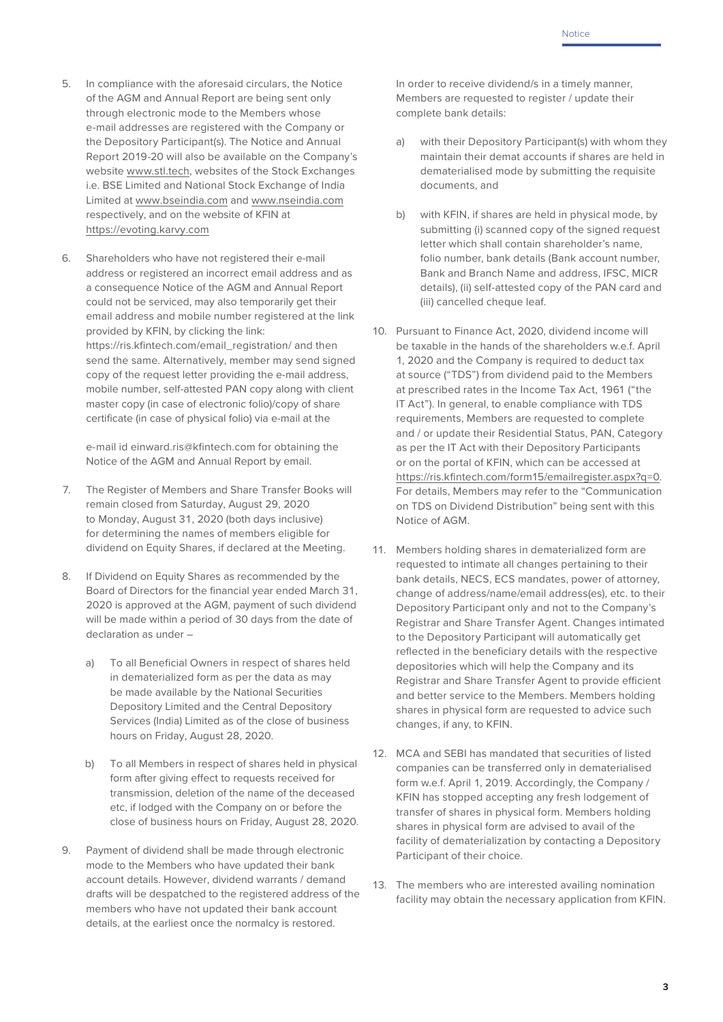- 5. In compliance with the aforesaid circulars, the Notice of the AGM and Annual Report are being sent only through electronic mode to the Members whose e-mail addresses are registered with the Company or the Depository Participant(s). The Notice and Annual Report 2019-20 will also be available on the Company's website www.stl.tech, websites of the Stock Exchanges i.e. BSE Limited and National Stock Exchange of India Limited at www.bseindia.com and www.nseindia.com respectively, and on the website of KFIN at https://evoting.karvy.com
- 6. Shareholders who have not registered their e-mail address or registered an incorrect email address and as a consequence Notice of the AGM and Annual Report could not be serviced, may also temporarily get their email address and mobile number registered at the link provided by KFIN, by clicking the link: https://ris.kfintech.com/email\_registration/ and then send the same. Alternatively, member may send signed copy of the request letter providing the e-mail address, mobile number, self-attested PAN copy along with client master copy (in case of electronic folio)/copy of share certificate (in case of physical folio) via e-mail at the

e-mail id einward.ris@kfintech.com for obtaining the Notice of the AGM and Annual Report by email.

- 7. The Register of Members and Share Transfer Books will remain closed from Saturday, August 29, 2020 to Monday, August 31, 2020 (both days inclusive) for determining the names of members eligible for dividend on Equity Shares, if declared at the Meeting.
- 8. If Dividend on Equity Shares as recommended by the Board of Directors for the financial year ended March 31, 2020 is approved at the AGM, payment of such dividend will be made within a period of 30 days from the date of declaration as under –
	- a) To all Beneficial Owners in respect of shares held in dematerialized form as per the data as may be made available by the National Securities Depository Limited and the Central Depository Services (India) Limited as of the close of business hours on Friday, August 28, 2020.
	- b) To all Members in respect of shares held in physical form after giving effect to requests received for transmission, deletion of the name of the deceased etc, if lodged with the Company on or before the close of business hours on Friday, August 28, 2020.
- 9. Payment of dividend shall be made through electronic mode to the Members who have updated their bank account details. However, dividend warrants / demand drafts will be despatched to the registered address of the members who have not updated their bank account details, at the earliest once the normalcy is restored.

In order to receive dividend/s in a timely manner, Members are requested to register / update their complete bank details:

- a) with their Depository Participant(s) with whom they maintain their demat accounts if shares are held in dematerialised mode by submitting the requisite documents, and
- b) with KFIN, if shares are held in physical mode, by submitting (i) scanned copy of the signed request letter which shall contain shareholder's name, folio number, bank details (Bank account number, Bank and Branch Name and address, IFSC, MICR details), (ii) self-attested copy of the PAN card and (iii) cancelled cheque leaf.
- 10. Pursuant to Finance Act, 2020, dividend income will be taxable in the hands of the shareholders w.e.f. April 1, 2020 and the Company is required to deduct tax at source ("TDS") from dividend paid to the Members at prescribed rates in the Income Tax Act, 1961 ("the IT Act"). In general, to enable compliance with TDS requirements, Members are requested to complete and / or update their Residential Status, PAN, Category as per the IT Act with their Depository Participants or on the portal of KFIN, which can be accessed at https://ris.kfintech.com/form15/emailregister.aspx?q=0. For details, Members may refer to the "Communication on TDS on Dividend Distribution" being sent with this Notice of AGM.
- 11. Members holding shares in dematerialized form are requested to intimate all changes pertaining to their bank details, NECS, ECS mandates, power of attorney, change of address/name/email address(es), etc. to their Depository Participant only and not to the Company's Registrar and Share Transfer Agent. Changes intimated to the Depository Participant will automatically get reflected in the beneficiary details with the respective depositories which will help the Company and its Registrar and Share Transfer Agent to provide efficient and better service to the Members. Members holding shares in physical form are requested to advice such changes, if any, to KFIN.
- 12. MCA and SEBI has mandated that securities of listed companies can be transferred only in dematerialised form w.e.f. April 1, 2019. Accordingly, the Company / KFIN has stopped accepting any fresh lodgement of transfer of shares in physical form. Members holding shares in physical form are advised to avail of the facility of dematerialization by contacting a Depository Participant of their choice.
- 13. The members who are interested availing nomination facility may obtain the necessary application from KFIN.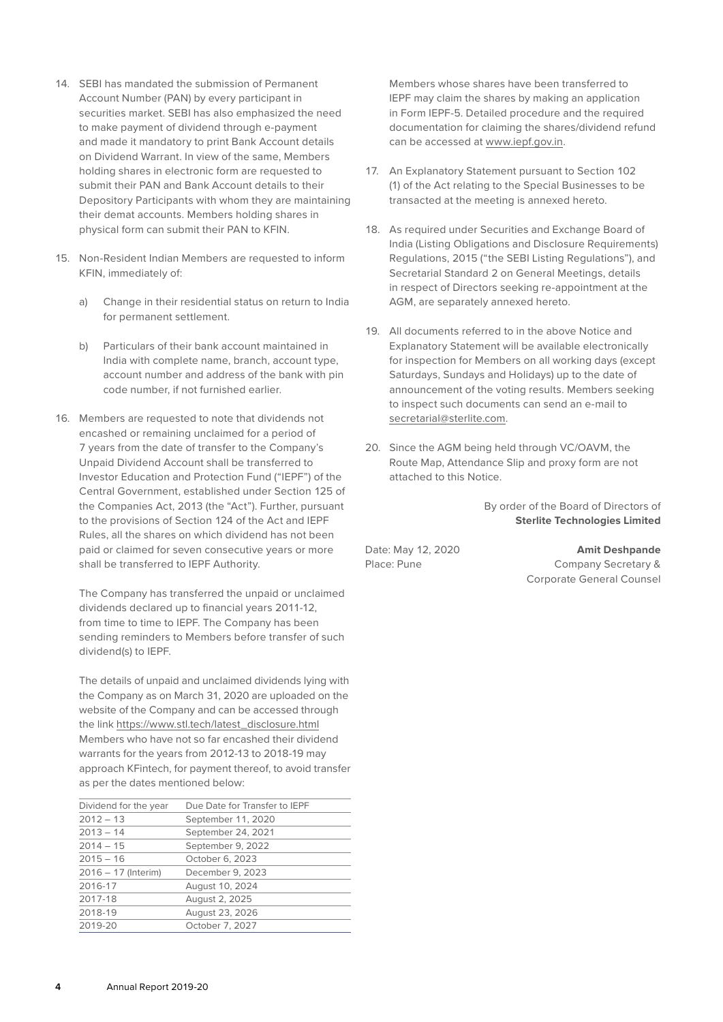- 14. SEBI has mandated the submission of Permanent Account Number (PAN) by every participant in securities market. SEBI has also emphasized the need to make payment of dividend through e-payment and made it mandatory to print Bank Account details on Dividend Warrant. In view of the same, Members holding shares in electronic form are requested to submit their PAN and Bank Account details to their Depository Participants with whom they are maintaining their demat accounts. Members holding shares in physical form can submit their PAN to KFIN.
- 15. Non-Resident Indian Members are requested to inform KFIN, immediately of:
	- a) Change in their residential status on return to India for permanent settlement.
	- b) Particulars of their bank account maintained in India with complete name, branch, account type, account number and address of the bank with pin code number, if not furnished earlier.
- 16. Members are requested to note that dividends not encashed or remaining unclaimed for a period of 7 years from the date of transfer to the Company's Unpaid Dividend Account shall be transferred to Investor Education and Protection Fund ("IEPF") of the Central Government, established under Section 125 of the Companies Act, 2013 (the "Act"). Further, pursuant to the provisions of Section 124 of the Act and IEPF Rules, all the shares on which dividend has not been paid or claimed for seven consecutive years or more shall be transferred to IEPF Authority.

The Company has transferred the unpaid or unclaimed dividends declared up to financial years 2011-12, from time to time to IEPF. The Company has been sending reminders to Members before transfer of such dividend(s) to IEPF.

The details of unpaid and unclaimed dividends lying with the Company as on March 31, 2020 are uploaded on the website of the Company and can be accessed through the link https://www.stl.tech/latest\_disclosure.html Members who have not so far encashed their dividend warrants for the years from 2012-13 to 2018-19 may approach KFintech, for payment thereof, to avoid transfer as per the dates mentioned below:

| Dividend for the year | Due Date for Transfer to IEPF |
|-----------------------|-------------------------------|
| $2012 - 13$           | September 11, 2020            |
| $2013 - 14$           | September 24, 2021            |
| $2014 - 15$           | September 9, 2022             |
| $2015 - 16$           | October 6, 2023               |
| $2016 - 17$ (Interim) | December 9, 2023              |
| 2016-17               | August 10, 2024               |
| 2017-18               | August 2, 2025                |
| 2018-19               | August 23, 2026               |
| 2019-20               | October 7, 2027               |
|                       |                               |

Members whose shares have been transferred to IEPF may claim the shares by making an application in Form IEPF-5. Detailed procedure and the required documentation for claiming the shares/dividend refund can be accessed at www.iepf.gov.in.

- 17. An Explanatory Statement pursuant to Section 102 (1) of the Act relating to the Special Businesses to be transacted at the meeting is annexed hereto.
- 18. As required under Securities and Exchange Board of India (Listing Obligations and Disclosure Requirements) Regulations, 2015 ("the SEBI Listing Regulations"), and Secretarial Standard 2 on General Meetings, details in respect of Directors seeking re-appointment at the AGM, are separately annexed hereto.
- 19. All documents referred to in the above Notice and Explanatory Statement will be available electronically for inspection for Members on all working days (except Saturdays, Sundays and Holidays) up to the date of announcement of the voting results. Members seeking to inspect such documents can send an e-mail to secretarial@sterlite.com.
- 20. Since the AGM being held through VC/OAVM, the Route Map, Attendance Slip and proxy form are not attached to this Notice.

By order of the Board of Directors of **Sterlite Technologies Limited**

Date: May 12, 2020 **Amit Deshpande** Place: Pune Company Secretary & Corporate General Counsel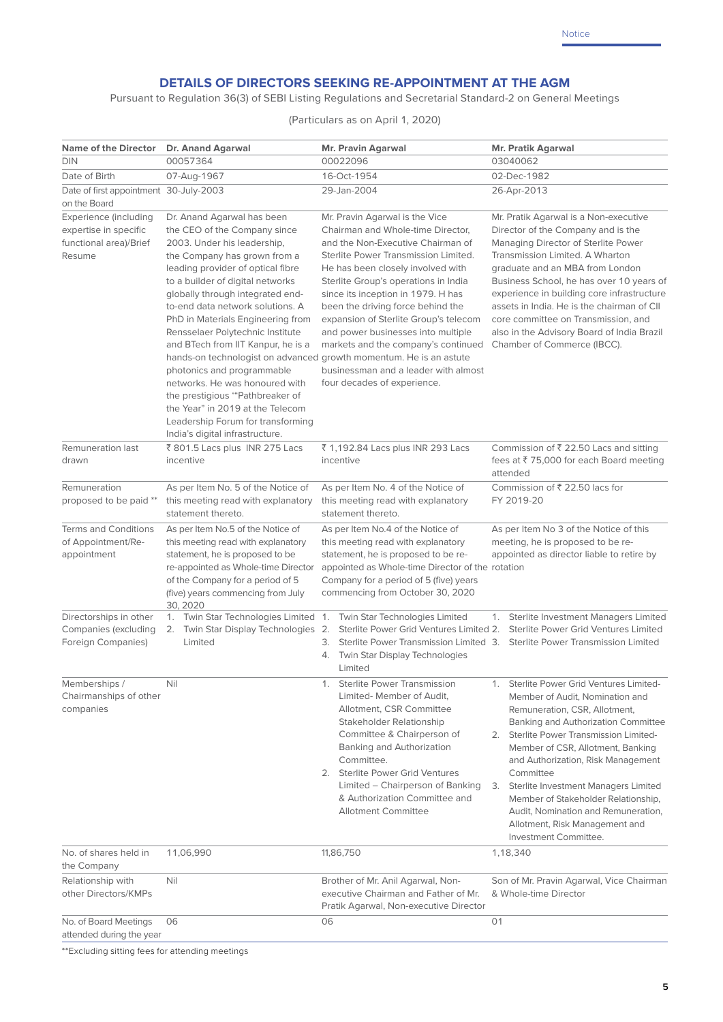# **DETAILS OF DIRECTORS SEEKING RE-APPOINTMENT AT THE AGM**

Pursuant to Regulation 36(3) of SEBI Listing Regulations and Secretarial Standard-2 on General Meetings

(Particulars as on April 1, 2020)

| <b>Name of the Director</b>                                                        | Dr. Anand Agarwal                                                                                                                                                                                                                                                                                                                                                                                                                                                                                                                                                                                                                                                              | Mr. Pravin Agarwal                                                                                                                                                                                                                                                                                                                                                                                                                                                                                    | Mr. Pratik Agarwal                                                                                                                                                                                                                                                                                                                                                                                                                                                                |
|------------------------------------------------------------------------------------|--------------------------------------------------------------------------------------------------------------------------------------------------------------------------------------------------------------------------------------------------------------------------------------------------------------------------------------------------------------------------------------------------------------------------------------------------------------------------------------------------------------------------------------------------------------------------------------------------------------------------------------------------------------------------------|-------------------------------------------------------------------------------------------------------------------------------------------------------------------------------------------------------------------------------------------------------------------------------------------------------------------------------------------------------------------------------------------------------------------------------------------------------------------------------------------------------|-----------------------------------------------------------------------------------------------------------------------------------------------------------------------------------------------------------------------------------------------------------------------------------------------------------------------------------------------------------------------------------------------------------------------------------------------------------------------------------|
| <b>DIN</b>                                                                         | 00057364                                                                                                                                                                                                                                                                                                                                                                                                                                                                                                                                                                                                                                                                       | 00022096                                                                                                                                                                                                                                                                                                                                                                                                                                                                                              | 03040062                                                                                                                                                                                                                                                                                                                                                                                                                                                                          |
| Date of Birth                                                                      | 07-Aug-1967                                                                                                                                                                                                                                                                                                                                                                                                                                                                                                                                                                                                                                                                    | 16-Oct-1954                                                                                                                                                                                                                                                                                                                                                                                                                                                                                           | 02-Dec-1982                                                                                                                                                                                                                                                                                                                                                                                                                                                                       |
| Date of first appointment 30-July-2003<br>on the Board                             |                                                                                                                                                                                                                                                                                                                                                                                                                                                                                                                                                                                                                                                                                | 29-Jan-2004                                                                                                                                                                                                                                                                                                                                                                                                                                                                                           | 26-Apr-2013                                                                                                                                                                                                                                                                                                                                                                                                                                                                       |
| Experience (including<br>expertise in specific<br>functional area)/Brief<br>Resume | Dr. Anand Agarwal has been<br>the CEO of the Company since<br>2003. Under his leadership,<br>the Company has grown from a<br>leading provider of optical fibre<br>to a builder of digital networks<br>globally through integrated end-<br>to-end data network solutions. A<br>PhD in Materials Engineering from<br>Rensselaer Polytechnic Institute<br>and BTech from IIT Kanpur, he is a<br>hands-on technologist on advanced growth momentum. He is an astute<br>photonics and programmable<br>networks. He was honoured with<br>the prestigious "Pathbreaker of<br>the Year" in 2019 at the Telecom<br>Leadership Forum for transforming<br>India's digital infrastructure. | Mr. Pravin Agarwal is the Vice<br>Chairman and Whole-time Director,<br>and the Non-Executive Chairman of<br>Sterlite Power Transmission Limited.<br>He has been closely involved with<br>Sterlite Group's operations in India<br>since its inception in 1979. H has<br>been the driving force behind the<br>expansion of Sterlite Group's telecom<br>and power businesses into multiple<br>markets and the company's continued<br>businessman and a leader with almost<br>four decades of experience. | Mr. Pratik Agarwal is a Non-executive<br>Director of the Company and is the<br>Managing Director of Sterlite Power<br>Transmission Limited. A Wharton<br>graduate and an MBA from London<br>Business School, he has over 10 years of<br>experience in building core infrastructure<br>assets in India. He is the chairman of CII<br>core committee on Transmission, and<br>also in the Advisory Board of India Brazil<br>Chamber of Commerce (IBCC).                              |
| Remuneration last<br>drawn                                                         | ₹ 801.5 Lacs plus INR 275 Lacs<br>incentive                                                                                                                                                                                                                                                                                                                                                                                                                                                                                                                                                                                                                                    | ₹ 1,192.84 Lacs plus INR 293 Lacs<br>incentive                                                                                                                                                                                                                                                                                                                                                                                                                                                        | Commission of $\overline{\xi}$ 22.50 Lacs and sitting<br>fees at ₹75,000 for each Board meeting<br>attended                                                                                                                                                                                                                                                                                                                                                                       |
| Remuneration<br>proposed to be paid **                                             | As per Item No. 5 of the Notice of<br>this meeting read with explanatory<br>statement thereto.                                                                                                                                                                                                                                                                                                                                                                                                                                                                                                                                                                                 | As per Item No. 4 of the Notice of<br>this meeting read with explanatory<br>statement thereto.                                                                                                                                                                                                                                                                                                                                                                                                        | Commission of ₹ 22.50 lacs for<br>FY 2019-20                                                                                                                                                                                                                                                                                                                                                                                                                                      |
| <b>Terms and Conditions</b><br>of Appointment/Re-<br>appointment                   | As per Item No.5 of the Notice of<br>this meeting read with explanatory<br>statement, he is proposed to be<br>re-appointed as Whole-time Director<br>of the Company for a period of 5<br>(five) years commencing from July<br>30, 2020                                                                                                                                                                                                                                                                                                                                                                                                                                         | As per Item No.4 of the Notice of<br>this meeting read with explanatory<br>statement, he is proposed to be re-<br>appointed as Whole-time Director of the rotation<br>Company for a period of 5 (five) years<br>commencing from October 30, 2020                                                                                                                                                                                                                                                      | As per Item No 3 of the Notice of this<br>meeting, he is proposed to be re-<br>appointed as director liable to retire by                                                                                                                                                                                                                                                                                                                                                          |
| Directorships in other<br>Companies (excluding<br>Foreign Companies)               | 1. Twin Star Technologies Limited 1.<br>2. Twin Star Display Technologies 2.<br>Limited                                                                                                                                                                                                                                                                                                                                                                                                                                                                                                                                                                                        | Twin Star Technologies Limited<br>Sterlite Power Grid Ventures Limited 2.<br>3.<br>4. Twin Star Display Technologies<br>Limited                                                                                                                                                                                                                                                                                                                                                                       | Sterlite Investment Managers Limited<br>1.<br>Sterlite Power Grid Ventures Limited<br>Sterlite Power Transmission Limited 3. Sterlite Power Transmission Limited                                                                                                                                                                                                                                                                                                                  |
| Memberships /<br>Chairmanships of other<br>companies                               | Nil                                                                                                                                                                                                                                                                                                                                                                                                                                                                                                                                                                                                                                                                            | <b>Sterlite Power Transmission</b><br>1.<br>Limited- Member of Audit,<br>Allotment, CSR Committee<br>Stakeholder Relationship<br>Committee & Chairperson of<br>Banking and Authorization<br>Committee.<br>2. Sterlite Power Grid Ventures<br>Limited – Chairperson of Banking<br>& Authorization Committee and<br><b>Allotment Committee</b>                                                                                                                                                          | 1. Sterlite Power Grid Ventures Limited-<br>Member of Audit, Nomination and<br>Remuneration, CSR, Allotment,<br><b>Banking and Authorization Committee</b><br>2. Sterlite Power Transmission Limited-<br>Member of CSR, Allotment, Banking<br>and Authorization, Risk Management<br>Committee<br>3. Sterlite Investment Managers Limited<br>Member of Stakeholder Relationship,<br>Audit, Nomination and Remuneration,<br>Allotment, Risk Management and<br>Investment Committee. |
| No. of shares held in<br>the Company                                               | 11,06,990                                                                                                                                                                                                                                                                                                                                                                                                                                                                                                                                                                                                                                                                      | 11,86,750                                                                                                                                                                                                                                                                                                                                                                                                                                                                                             | 1,18,340                                                                                                                                                                                                                                                                                                                                                                                                                                                                          |
| Relationship with<br>other Directors/KMPs                                          | Nil                                                                                                                                                                                                                                                                                                                                                                                                                                                                                                                                                                                                                                                                            | Brother of Mr. Anil Agarwal, Non-<br>executive Chairman and Father of Mr.<br>Pratik Agarwal, Non-executive Director                                                                                                                                                                                                                                                                                                                                                                                   | Son of Mr. Pravin Agarwal, Vice Chairman<br>& Whole-time Director                                                                                                                                                                                                                                                                                                                                                                                                                 |
| No. of Board Meetings<br>attended during the year                                  | 06                                                                                                                                                                                                                                                                                                                                                                                                                                                                                                                                                                                                                                                                             | 06                                                                                                                                                                                                                                                                                                                                                                                                                                                                                                    | 01                                                                                                                                                                                                                                                                                                                                                                                                                                                                                |

\*\*Excluding sitting fees for attending meetings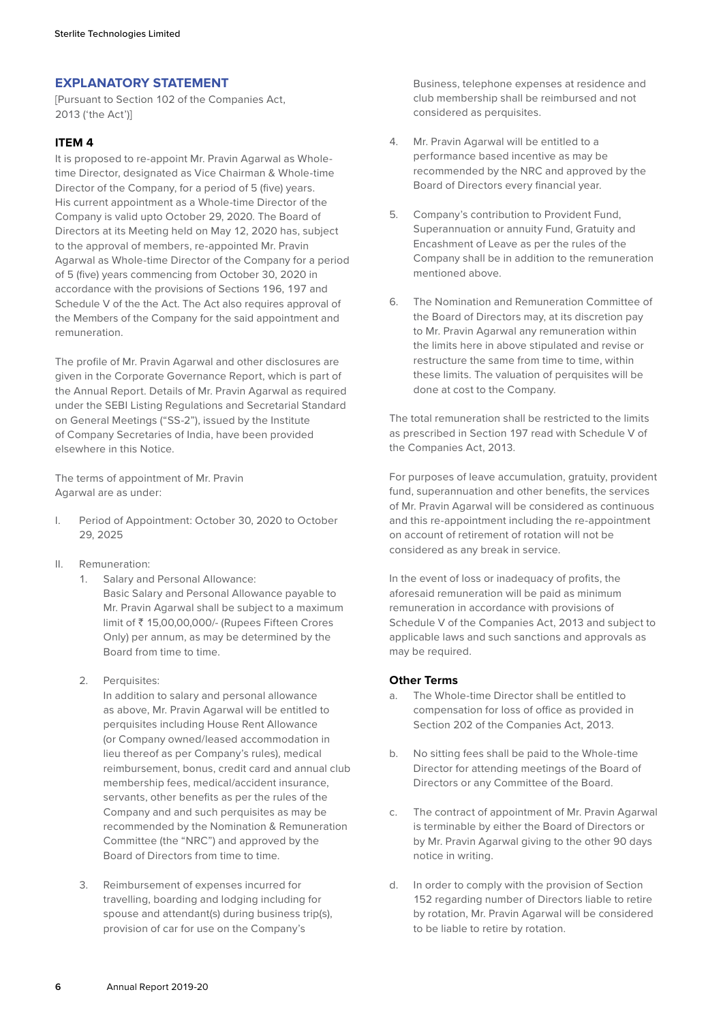# **EXPLANATORY STATEMENT**

[Pursuant to Section 102 of the Companies Act, 2013 ('the Act')]

# **ITEM 4**

It is proposed to re-appoint Mr. Pravin Agarwal as Wholetime Director, designated as Vice Chairman & Whole-time Director of the Company, for a period of 5 (five) years. His current appointment as a Whole-time Director of the Company is valid upto October 29, 2020. The Board of Directors at its Meeting held on May 12, 2020 has, subject to the approval of members, re-appointed Mr. Pravin Agarwal as Whole-time Director of the Company for a period of 5 (five) years commencing from October 30, 2020 in accordance with the provisions of Sections 196, 197 and Schedule V of the the Act. The Act also requires approval of the Members of the Company for the said appointment and remuneration.

The profile of Mr. Pravin Agarwal and other disclosures are given in the Corporate Governance Report, which is part of the Annual Report. Details of Mr. Pravin Agarwal as required under the SEBI Listing Regulations and Secretarial Standard on General Meetings ("SS-2"), issued by the Institute of Company Secretaries of India, have been provided elsewhere in this Notice.

The terms of appointment of Mr. Pravin Agarwal are as under:

- I. Period of Appointment: October 30, 2020 to October 29, 2025
- II. Remuneration:
	- 1. Salary and Personal Allowance: Basic Salary and Personal Allowance payable to Mr. Pravin Agarwal shall be subject to a maximum limit of ` 15,00,00,000/- (Rupees Fifteen Crores Only) per annum, as may be determined by the Board from time to time.
	- 2. Perquisites:

In addition to salary and personal allowance as above, Mr. Pravin Agarwal will be entitled to perquisites including House Rent Allowance (or Company owned/leased accommodation in lieu thereof as per Company's rules), medical reimbursement, bonus, credit card and annual club membership fees, medical/accident insurance, servants, other benefits as per the rules of the Company and and such perquisites as may be recommended by the Nomination & Remuneration Committee (the "NRC") and approved by the Board of Directors from time to time.

3. Reimbursement of expenses incurred for travelling, boarding and lodging including for spouse and attendant(s) during business trip(s), provision of car for use on the Company's

Business, telephone expenses at residence and club membership shall be reimbursed and not considered as perquisites.

- 4. Mr. Pravin Agarwal will be entitled to a performance based incentive as may be recommended by the NRC and approved by the Board of Directors every financial year.
- 5. Company's contribution to Provident Fund, Superannuation or annuity Fund, Gratuity and Encashment of Leave as per the rules of the Company shall be in addition to the remuneration mentioned above.
- 6. The Nomination and Remuneration Committee of the Board of Directors may, at its discretion pay to Mr. Pravin Agarwal any remuneration within the limits here in above stipulated and revise or restructure the same from time to time, within these limits. The valuation of perquisites will be done at cost to the Company.

The total remuneration shall be restricted to the limits as prescribed in Section 197 read with Schedule V of the Companies Act, 2013.

For purposes of leave accumulation, gratuity, provident fund, superannuation and other benefits, the services of Mr. Pravin Agarwal will be considered as continuous and this re-appointment including the re-appointment on account of retirement of rotation will not be considered as any break in service.

In the event of loss or inadequacy of profits, the aforesaid remuneration will be paid as minimum remuneration in accordance with provisions of Schedule V of the Companies Act, 2013 and subject to applicable laws and such sanctions and approvals as may be required.

#### **Other Terms**

- a. The Whole-time Director shall be entitled to compensation for loss of office as provided in Section 202 of the Companies Act, 2013.
- b. No sitting fees shall be paid to the Whole-time Director for attending meetings of the Board of Directors or any Committee of the Board.
- c. The contract of appointment of Mr. Pravin Agarwal is terminable by either the Board of Directors or by Mr. Pravin Agarwal giving to the other 90 days notice in writing.
- d. In order to comply with the provision of Section 152 regarding number of Directors liable to retire by rotation, Mr. Pravin Agarwal will be considered to be liable to retire by rotation.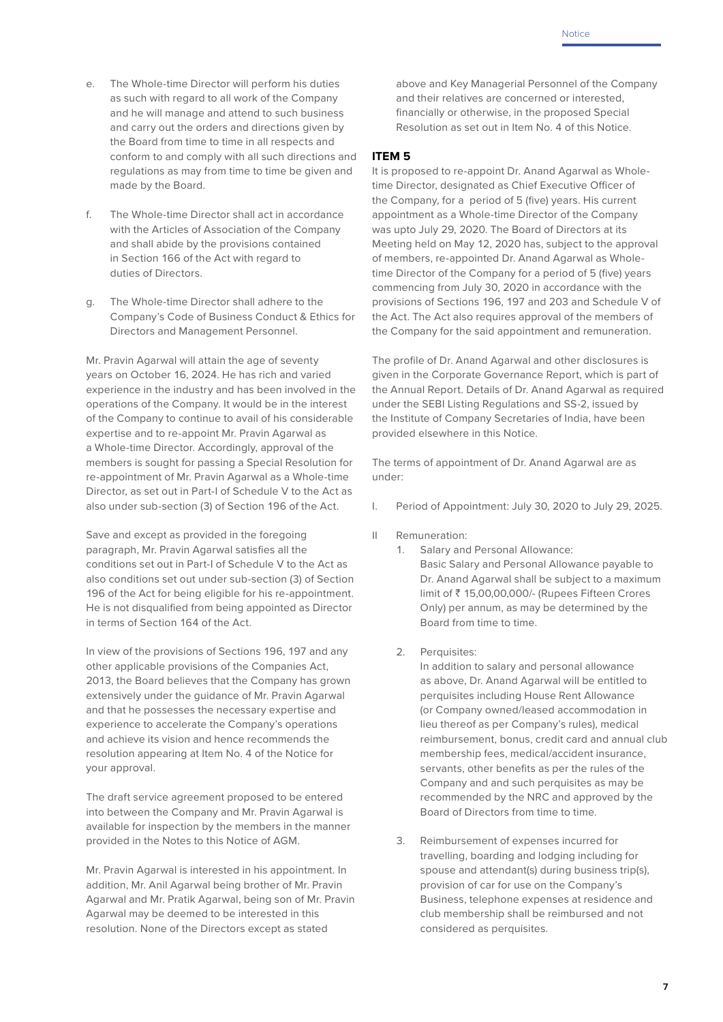- e. The Whole-time Director will perform his duties as such with regard to all work of the Company and he will manage and attend to such business and carry out the orders and directions given by the Board from time to time in all respects and conform to and comply with all such directions and regulations as may from time to time be given and made by the Board.
- f. The Whole-time Director shall act in accordance with the Articles of Association of the Company and shall abide by the provisions contained in Section 166 of the Act with regard to duties of Directors.
- g. The Whole-time Director shall adhere to the Company's Code of Business Conduct & Ethics for Directors and Management Personnel.

Mr. Pravin Agarwal will attain the age of seventy years on October 16, 2024. He has rich and varied experience in the industry and has been involved in the operations of the Company. It would be in the interest of the Company to continue to avail of his considerable expertise and to re-appoint Mr. Pravin Agarwal as a Whole-time Director. Accordingly, approval of the members is sought for passing a Special Resolution for re-appointment of Mr. Pravin Agarwal as a Whole-time Director, as set out in Part-I of Schedule V to the Act as also under sub-section (3) of Section 196 of the Act.

Save and except as provided in the foregoing paragraph, Mr. Pravin Agarwal satisfies all the conditions set out in Part-I of Schedule V to the Act as also conditions set out under sub-section (3) of Section 196 of the Act for being eligible for his re-appointment. He is not disqualified from being appointed as Director in terms of Section 164 of the Act.

In view of the provisions of Sections 196, 197 and any other applicable provisions of the Companies Act, 2013, the Board believes that the Company has grown extensively under the guidance of Mr. Pravin Agarwal and that he possesses the necessary expertise and experience to accelerate the Company's operations and achieve its vision and hence recommends the resolution appearing at Item No. 4 of the Notice for your approval.

The draft service agreement proposed to be entered into between the Company and Mr. Pravin Agarwal is available for inspection by the members in the manner provided in the Notes to this Notice of AGM.

Mr. Pravin Agarwal is interested in his appointment. In addition, Mr. Anil Agarwal being brother of Mr. Pravin Agarwal and Mr. Pratik Agarwal, being son of Mr. Pravin Agarwal may be deemed to be interested in this resolution. None of the Directors except as stated

above and Key Managerial Personnel of the Company and their relatives are concerned or interested, financially or otherwise, in the proposed Special Resolution as set out in Item No. 4 of this Notice.

# **ITEM 5**

It is proposed to re-appoint Dr. Anand Agarwal as Wholetime Director, designated as Chief Executive Officer of the Company, for a period of 5 (five) years. His current appointment as a Whole-time Director of the Company was upto July 29, 2020. The Board of Directors at its Meeting held on May 12, 2020 has, subject to the approval of members, re-appointed Dr. Anand Agarwal as Wholetime Director of the Company for a period of 5 (five) years commencing from July 30, 2020 in accordance with the provisions of Sections 196, 197 and 203 and Schedule V of the Act. The Act also requires approval of the members of the Company for the said appointment and remuneration.

The profile of Dr. Anand Agarwal and other disclosures is given in the Corporate Governance Report, which is part of the Annual Report. Details of Dr. Anand Agarwal as required under the SEBI Listing Regulations and SS-2, issued by the Institute of Company Secretaries of India, have been provided elsewhere in this Notice.

The terms of appointment of Dr. Anand Agarwal are as under:

- I. Period of Appointment: July 30, 2020 to July 29, 2025.
- II Remuneration:
	- 1. Salary and Personal Allowance: Basic Salary and Personal Allowance payable to Dr. Anand Agarwal shall be subject to a maximum limit of ` 15,00,00,000/- (Rupees Fifteen Crores Only) per annum, as may be determined by the Board from time to time.
	- 2. Perquisites:

In addition to salary and personal allowance as above, Dr. Anand Agarwal will be entitled to perquisites including House Rent Allowance (or Company owned/leased accommodation in lieu thereof as per Company's rules), medical reimbursement, bonus, credit card and annual club membership fees, medical/accident insurance, servants, other benefits as per the rules of the Company and and such perquisites as may be recommended by the NRC and approved by the Board of Directors from time to time.

3. Reimbursement of expenses incurred for travelling, boarding and lodging including for spouse and attendant(s) during business trip(s), provision of car for use on the Company's Business, telephone expenses at residence and club membership shall be reimbursed and not considered as perquisites.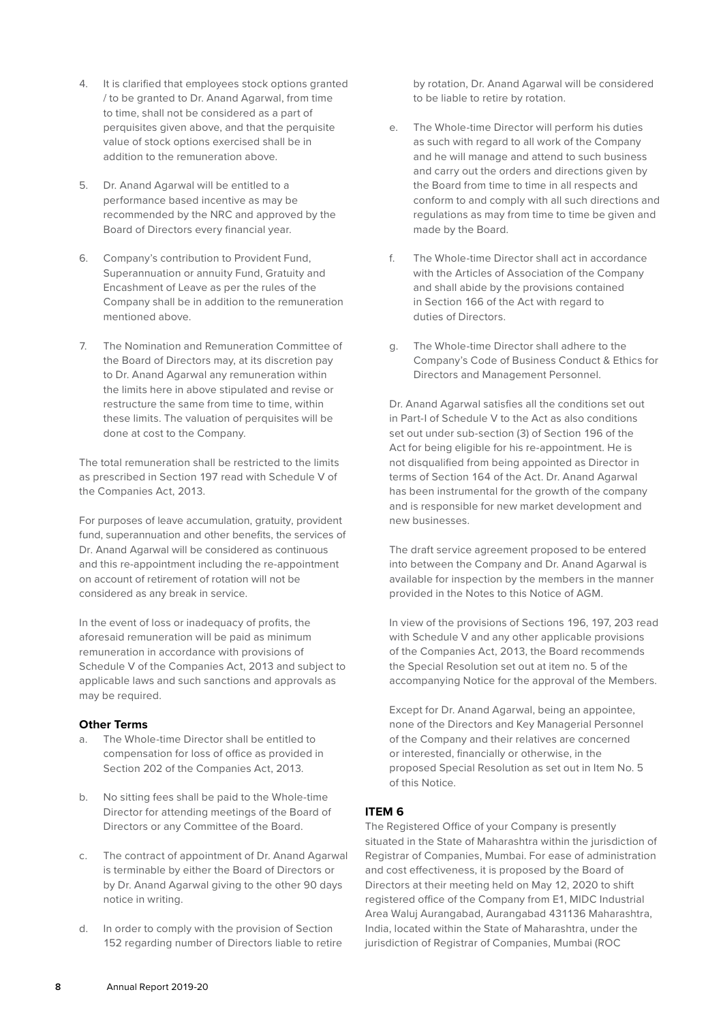- 4. It is clarified that employees stock options granted / to be granted to Dr. Anand Agarwal, from time to time, shall not be considered as a part of perquisites given above, and that the perquisite value of stock options exercised shall be in addition to the remuneration above.
- 5. Dr. Anand Agarwal will be entitled to a performance based incentive as may be recommended by the NRC and approved by the Board of Directors every financial year.
- 6. Company's contribution to Provident Fund, Superannuation or annuity Fund, Gratuity and Encashment of Leave as per the rules of the Company shall be in addition to the remuneration mentioned above.
- 7. The Nomination and Remuneration Committee of the Board of Directors may, at its discretion pay to Dr. Anand Agarwal any remuneration within the limits here in above stipulated and revise or restructure the same from time to time, within these limits. The valuation of perquisites will be done at cost to the Company.

The total remuneration shall be restricted to the limits as prescribed in Section 197 read with Schedule V of the Companies Act, 2013.

For purposes of leave accumulation, gratuity, provident fund, superannuation and other benefits, the services of Dr. Anand Agarwal will be considered as continuous and this re-appointment including the re-appointment on account of retirement of rotation will not be considered as any break in service.

In the event of loss or inadequacy of profits, the aforesaid remuneration will be paid as minimum remuneration in accordance with provisions of Schedule V of the Companies Act, 2013 and subject to applicable laws and such sanctions and approvals as may be required.

#### **Other Terms**

- a. The Whole-time Director shall be entitled to compensation for loss of office as provided in Section 202 of the Companies Act, 2013.
- b. No sitting fees shall be paid to the Whole-time Director for attending meetings of the Board of Directors or any Committee of the Board.
- c. The contract of appointment of Dr. Anand Agarwal is terminable by either the Board of Directors or by Dr. Anand Agarwal giving to the other 90 days notice in writing.
- d. In order to comply with the provision of Section 152 regarding number of Directors liable to retire

by rotation, Dr. Anand Agarwal will be considered to be liable to retire by rotation.

- e. The Whole-time Director will perform his duties as such with regard to all work of the Company and he will manage and attend to such business and carry out the orders and directions given by the Board from time to time in all respects and conform to and comply with all such directions and regulations as may from time to time be given and made by the Board.
- f. The Whole-time Director shall act in accordance with the Articles of Association of the Company and shall abide by the provisions contained in Section 166 of the Act with regard to duties of Directors.
- g. The Whole-time Director shall adhere to the Company's Code of Business Conduct & Ethics for Directors and Management Personnel.

Dr. Anand Agarwal satisfies all the conditions set out in Part-I of Schedule V to the Act as also conditions set out under sub-section (3) of Section 196 of the Act for being eligible for his re-appointment. He is not disqualified from being appointed as Director in terms of Section 164 of the Act. Dr. Anand Agarwal has been instrumental for the growth of the company and is responsible for new market development and new businesses.

The draft service agreement proposed to be entered into between the Company and Dr. Anand Agarwal is available for inspection by the members in the manner provided in the Notes to this Notice of AGM.

In view of the provisions of Sections 196, 197, 203 read with Schedule V and any other applicable provisions of the Companies Act, 2013, the Board recommends the Special Resolution set out at item no. 5 of the accompanying Notice for the approval of the Members.

Except for Dr. Anand Agarwal, being an appointee, none of the Directors and Key Managerial Personnel of the Company and their relatives are concerned or interested, financially or otherwise, in the proposed Special Resolution as set out in Item No. 5 of this Notice.

# **ITEM 6**

The Registered Office of your Company is presently situated in the State of Maharashtra within the jurisdiction of Registrar of Companies, Mumbai. For ease of administration and cost effectiveness, it is proposed by the Board of Directors at their meeting held on May 12, 2020 to shift registered office of the Company from E1, MIDC Industrial Area Waluj Aurangabad, Aurangabad 431136 Maharashtra, India, located within the State of Maharashtra, under the jurisdiction of Registrar of Companies, Mumbai (ROC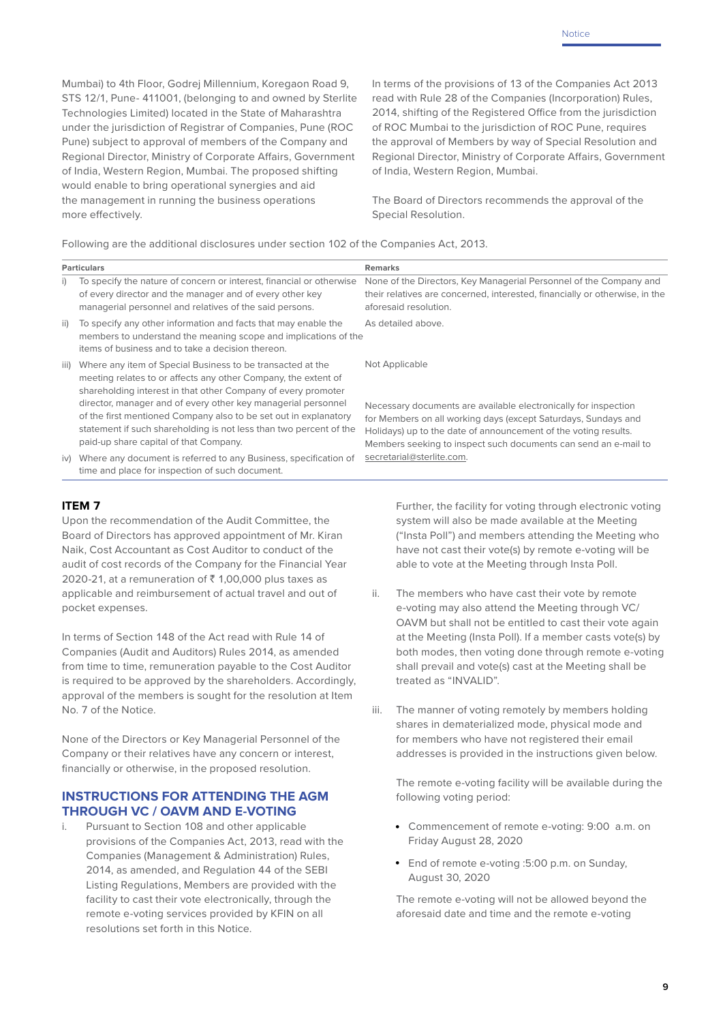Mumbai) to 4th Floor, Godrej Millennium, Koregaon Road 9, STS 12/1, Pune- 411001, (belonging to and owned by Sterlite Technologies Limited) located in the State of Maharashtra under the jurisdiction of Registrar of Companies, Pune (ROC Pune) subject to approval of members of the Company and Regional Director, Ministry of Corporate Affairs, Government of India, Western Region, Mumbai. The proposed shifting would enable to bring operational synergies and aid the management in running the business operations more effectively.

In terms of the provisions of 13 of the Companies Act 2013 read with Rule 28 of the Companies (Incorporation) Rules, 2014, shifting of the Registered Office from the jurisdiction of ROC Mumbai to the jurisdiction of ROC Pune, requires the approval of Members by way of Special Resolution and Regional Director, Ministry of Corporate Affairs, Government of India, Western Region, Mumbai.

The Board of Directors recommends the approval of the Special Resolution.

Following are the additional disclosures under section 102 of the Companies Act, 2013.

| <b>Particulars</b> |                                                                                                                                                                                                                                                                                                                                                                                                          | <b>Remarks</b>                                                                                                                                                                                                         |  |
|--------------------|----------------------------------------------------------------------------------------------------------------------------------------------------------------------------------------------------------------------------------------------------------------------------------------------------------------------------------------------------------------------------------------------------------|------------------------------------------------------------------------------------------------------------------------------------------------------------------------------------------------------------------------|--|
| i)                 | To specify the nature of concern or interest, financial or otherwise<br>of every director and the manager and of every other key<br>managerial personnel and relatives of the said persons.                                                                                                                                                                                                              | None of the Directors, Key Managerial Personnel of the Company and<br>their relatives are concerned, interested, financially or otherwise, in the<br>aforesaid resolution.                                             |  |
| ii)                | To specify any other information and facts that may enable the<br>members to understand the meaning scope and implications of the<br>items of business and to take a decision thereon.                                                                                                                                                                                                                   | As detailed above.                                                                                                                                                                                                     |  |
| iii)               | Where any item of Special Business to be transacted at the<br>meeting relates to or affects any other Company, the extent of<br>shareholding interest in that other Company of every promoter<br>director, manager and of every other key managerial personnel<br>of the first mentioned Company also to be set out in explanatory<br>statement if such shareholding is not less than two percent of the | Not Applicable<br>Necessary documents are available electronically for inspection<br>for Members on all working days (except Saturdays, Sundays and<br>Holidays) up to the date of announcement of the voting results. |  |
| iv)                | paid-up share capital of that Company.<br>Where any document is referred to any Business, specification of<br>time and place for inspection of such document.                                                                                                                                                                                                                                            | Members seeking to inspect such documents can send an e-mail to<br>secretarial@sterlite.com.                                                                                                                           |  |

# **ITEM 7**

Upon the recommendation of the Audit Committee, the Board of Directors has approved appointment of Mr. Kiran Naik, Cost Accountant as Cost Auditor to conduct of the audit of cost records of the Company for the Financial Year 2020-21, at a remuneration of  $\bar{\xi}$  1,00,000 plus taxes as applicable and reimbursement of actual travel and out of pocket expenses.

In terms of Section 148 of the Act read with Rule 14 of Companies (Audit and Auditors) Rules 2014, as amended from time to time, remuneration payable to the Cost Auditor is required to be approved by the shareholders. Accordingly, approval of the members is sought for the resolution at Item No. 7 of the Notice.

None of the Directors or Key Managerial Personnel of the Company or their relatives have any concern or interest, financially or otherwise, in the proposed resolution.

#### **INSTRUCTIONS FOR ATTENDING THE AGM THROUGH VC / OAVM AND E-VOTING**

i. Pursuant to Section 108 and other applicable provisions of the Companies Act, 2013, read with the Companies (Management & Administration) Rules, 2014, as amended, and Regulation 44 of the SEBI Listing Regulations, Members are provided with the facility to cast their vote electronically, through the remote e-voting services provided by KFIN on all resolutions set forth in this Notice.

Further, the facility for voting through electronic voting system will also be made available at the Meeting ("Insta Poll") and members attending the Meeting who have not cast their vote(s) by remote e-voting will be able to vote at the Meeting through Insta Poll.

- ii. The members who have cast their vote by remote e-voting may also attend the Meeting through VC/ OAVM but shall not be entitled to cast their vote again at the Meeting (Insta Poll). If a member casts vote(s) by both modes, then voting done through remote e-voting shall prevail and vote(s) cast at the Meeting shall be treated as "INVALID".
- iii. The manner of voting remotely by members holding shares in dematerialized mode, physical mode and for members who have not registered their email addresses is provided in the instructions given below.

The remote e-voting facility will be available during the following voting period:

- Commencement of remote e-voting: 9:00 a.m. on Friday August 28, 2020
- End of remote e-voting :5:00 p.m. on Sunday, August 30, 2020

The remote e-voting will not be allowed beyond the aforesaid date and time and the remote e-voting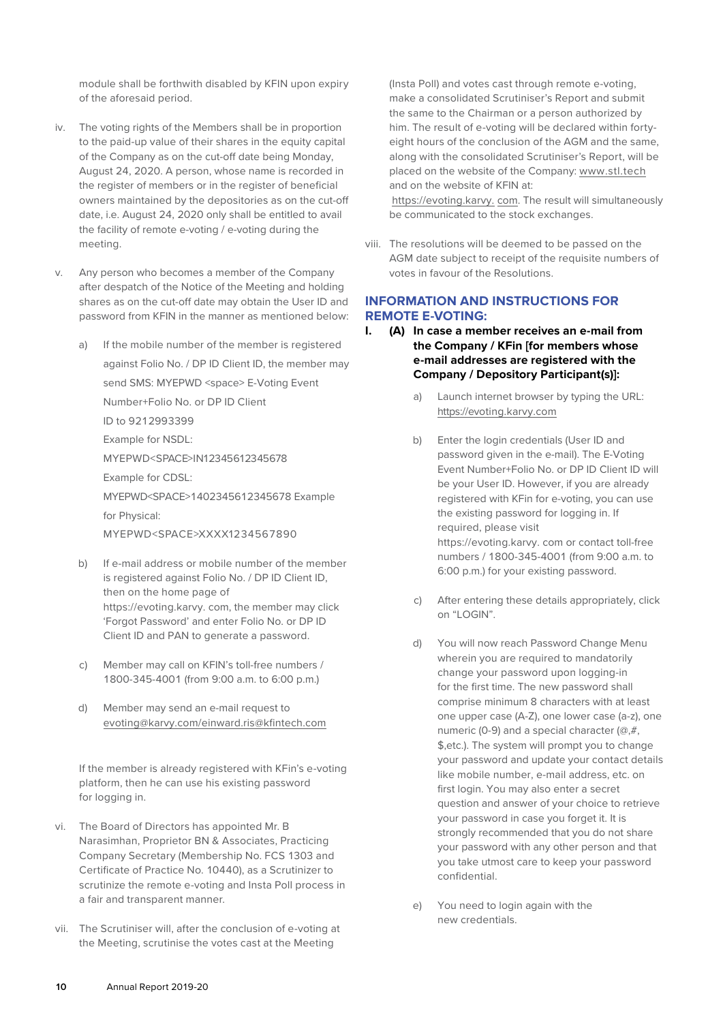module shall be forthwith disabled by KFIN upon expiry of the aforesaid period.

- iv. The voting rights of the Members shall be in proportion to the paid-up value of their shares in the equity capital of the Company as on the cut-off date being Monday, August 24, 2020. A person, whose name is recorded in the register of members or in the register of beneficial owners maintained by the depositories as on the cut-off date, i.e. August 24, 2020 only shall be entitled to avail the facility of remote e-voting / e-voting during the meeting.
- v. Any person who becomes a member of the Company after despatch of the Notice of the Meeting and holding shares as on the cut-off date may obtain the User ID and password from KFIN in the manner as mentioned below:
	- a) If the mobile number of the member is registered against Folio No. / DP ID Client ID, the member may send SMS: MYEPWD <space> E-Voting Event Number+Folio No. or DP ID Client ID to 9212993399 Example for NSDL: MYEPWD<SPACE>IN12345612345678 Example for CDSL: MYEPWD<SPACE>1402345612345678 Example for Physical: MYEPWD<SPACE>XXXX1234567890
	- b) If e-mail address or mobile number of the member is registered against Folio No. / DP ID Client ID, then on the home page of https://evoting.karvy. com, the member may click 'Forgot Password' and enter Folio No. or DP ID Client ID and PAN to generate a password.
	- c) Member may call on KFIN's toll-free numbers / 1800-345-4001 (from 9:00 a.m. to 6:00 p.m.)
	- d) Member may send an e-mail request to evoting@karvy.com/einward.ris@kfintech.com

If the member is already registered with KFin's e-voting platform, then he can use his existing password for logging in.

- vi. The Board of Directors has appointed Mr. B Narasimhan, Proprietor BN & Associates, Practicing Company Secretary (Membership No. FCS 1303 and Certificate of Practice No. 10440), as a Scrutinizer to scrutinize the remote e-voting and Insta Poll process in a fair and transparent manner.
- vii. The Scrutiniser will, after the conclusion of e-voting at the Meeting, scrutinise the votes cast at the Meeting

(Insta Poll) and votes cast through remote e-voting, make a consolidated Scrutiniser's Report and submit the same to the Chairman or a person authorized by him. The result of e-voting will be declared within fortyeight hours of the conclusion of the AGM and the same, along with the consolidated Scrutiniser's Report, will be placed on the website of the Company: www.stl.tech and on the website of KFIN at:

https://evoting.karvy. com. The result will simultaneously be communicated to the stock exchanges.

viii. The resolutions will be deemed to be passed on the AGM date subject to receipt of the requisite numbers of votes in favour of the Resolutions.

# **INFORMATION AND INSTRUCTIONS FOR REMOTE E-VOTING:**

- **I. (A) In case a member receives an e-mail from the Company / KFin [for members whose e-mail addresses are registered with the Company / Depository Participant(s)]:**
	- a) Launch internet browser by typing the URL: https://evoting.karvy.com
	- b) Enter the login credentials (User ID and password given in the e-mail). The E-Voting Event Number+Folio No. or DP ID Client ID will be your User ID. However, if you are already registered with KFin for e-voting, you can use the existing password for logging in. If required, please visit https://evoting.karvy. com or contact toll-free numbers / 1800-345-4001 (from 9:00 a.m. to 6:00 p.m.) for your existing password.
	- c) After entering these details appropriately, click on "LOGIN".
	- d) You will now reach Password Change Menu wherein you are required to mandatorily change your password upon logging-in for the first time. The new password shall comprise minimum 8 characters with at least one upper case (A-Z), one lower case (a-z), one numeric (0-9) and a special character (@,#, \$,etc.). The system will prompt you to change your password and update your contact details like mobile number, e-mail address, etc. on first login. You may also enter a secret question and answer of your choice to retrieve your password in case you forget it. It is strongly recommended that you do not share your password with any other person and that you take utmost care to keep your password confidential.
	- e) You need to login again with the new credentials.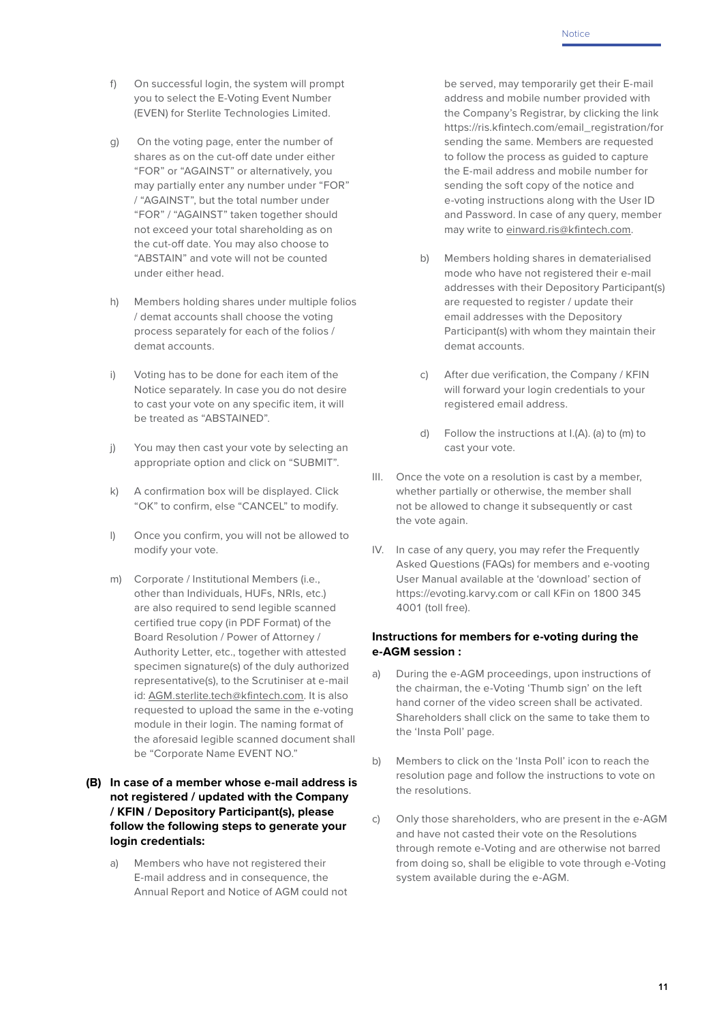- f) On successful login, the system will prompt you to select the E-Voting Event Number (EVEN) for Sterlite Technologies Limited.
- g) On the voting page, enter the number of shares as on the cut-off date under either "FOR" or "AGAINST" or alternatively, you may partially enter any number under "FOR" / "AGAINST", but the total number under "FOR" / "AGAINST" taken together should not exceed your total shareholding as on the cut-off date. You may also choose to "ABSTAIN" and vote will not be counted under either head.
- h) Members holding shares under multiple folios / demat accounts shall choose the voting process separately for each of the folios / demat accounts.
- i) Voting has to be done for each item of the Notice separately. In case you do not desire to cast your vote on any specific item, it will be treated as "ABSTAINED".
- j) You may then cast your vote by selecting an appropriate option and click on "SUBMIT".
- k) A confirmation box will be displayed. Click "OK" to confirm, else "CANCEL" to modify.
- l) Once you confirm, you will not be allowed to modify your vote.
- m) Corporate / Institutional Members (i.e., other than Individuals, HUFs, NRIs, etc.) are also required to send legible scanned certified true copy (in PDF Format) of the Board Resolution / Power of Attorney / Authority Letter, etc., together with attested specimen signature(s) of the duly authorized representative(s), to the Scrutiniser at e-mail id: AGM.sterlite.tech@kfintech.com. It is also requested to upload the same in the e-voting module in their login. The naming format of the aforesaid legible scanned document shall be "Corporate Name EVENT NO."

# **(B) In case of a member whose e-mail address is not registered / updated with the Company / KFIN / Depository Participant(s), please follow the following steps to generate your login credentials:**

a) Members who have not registered their E-mail address and in consequence, the Annual Report and Notice of AGM could not be served, may temporarily get their E-mail address and mobile number provided with the Company's Registrar, by clicking the link https://ris.kfintech.com/email\_registration/for sending the same. Members are requested to follow the process as guided to capture the E-mail address and mobile number for sending the soft copy of the notice and e-voting instructions along with the User ID and Password. In case of any query, member may write to einward.ris@kfintech.com.

- b) Members holding shares in dematerialised mode who have not registered their e-mail addresses with their Depository Participant(s) are requested to register / update their email addresses with the Depository Participant(s) with whom they maintain their demat accounts.
- c) After due verification, the Company / KFIN will forward your login credentials to your registered email address.
- d) Follow the instructions at I.(A). (a) to (m) to cast your vote.
- III. Once the vote on a resolution is cast by a member, whether partially or otherwise, the member shall not be allowed to change it subsequently or cast the vote again.
- IV. In case of any query, you may refer the Frequently Asked Questions (FAQs) for members and e-vooting User Manual available at the 'download' section of https://evoting.karvy.com or call KFin on 1800 345 4001 (toll free).

# **Instructions for members for e-voting during the e-AGM session :**

- a) During the e-AGM proceedings, upon instructions of the chairman, the e-Voting 'Thumb sign' on the left hand corner of the video screen shall be activated. Shareholders shall click on the same to take them to the 'Insta Poll' page.
- b) Members to click on the 'Insta Poll' icon to reach the resolution page and follow the instructions to vote on the resolutions.
- c) Only those shareholders, who are present in the e-AGM and have not casted their vote on the Resolutions through remote e-Voting and are otherwise not barred from doing so, shall be eligible to vote through e-Voting system available during the e-AGM.